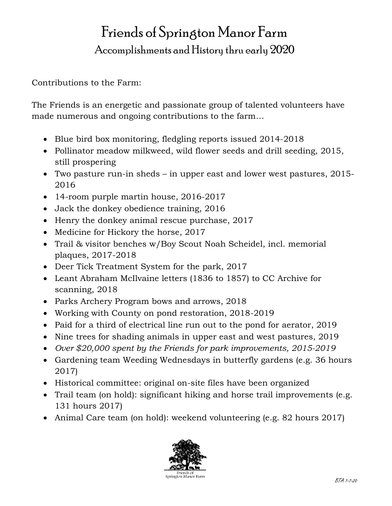## Friends of Springton Manor Farm Accomplishments and History thru early 2020

Contributions to the Farm:

The Friends is an energetic and passionate group of talented volunteers have made numerous and ongoing contributions to the farm…

- Blue bird box monitoring, fledgling reports issued 2014-2018
- Pollinator meadow milkweed, wild flower seeds and drill seeding, 2015, still prospering
- Two pasture run-in sheds in upper east and lower west pastures, 2015- 2016
- 14-room purple martin house, 2016-2017
- Jack the donkey obedience training, 2016
- Henry the donkey animal rescue purchase, 2017
- Medicine for Hickory the horse, 2017
- Trail & visitor benches w/Boy Scout Noah Scheidel, incl. memorial plaques, 2017-2018
- Deer Tick Treatment System for the park, 2017
- Leant Abraham McIlvaine letters (1836 to 1857) to CC Archive for scanning, 2018
- Parks Archery Program bows and arrows, 2018
- Working with County on pond restoration, 2018-2019
- Paid for a third of electrical line run out to the pond for aerator, 2019
- Nine trees for shading animals in upper east and west pastures, 2019
- *Over \$20,000 spent by the Friends for park improvements, 2015-2019*
- Gardening team Weeding Wednesdays in butterfly gardens (e.g. 36 hours 2017)
- Historical committee: original on-site files have been organized
- Trail team (on hold): significant hiking and horse trail improvements (e.g. 131 hours 2017)
- Animal Care team (on hold): weekend volunteering (e.g. 82 hours 2017)